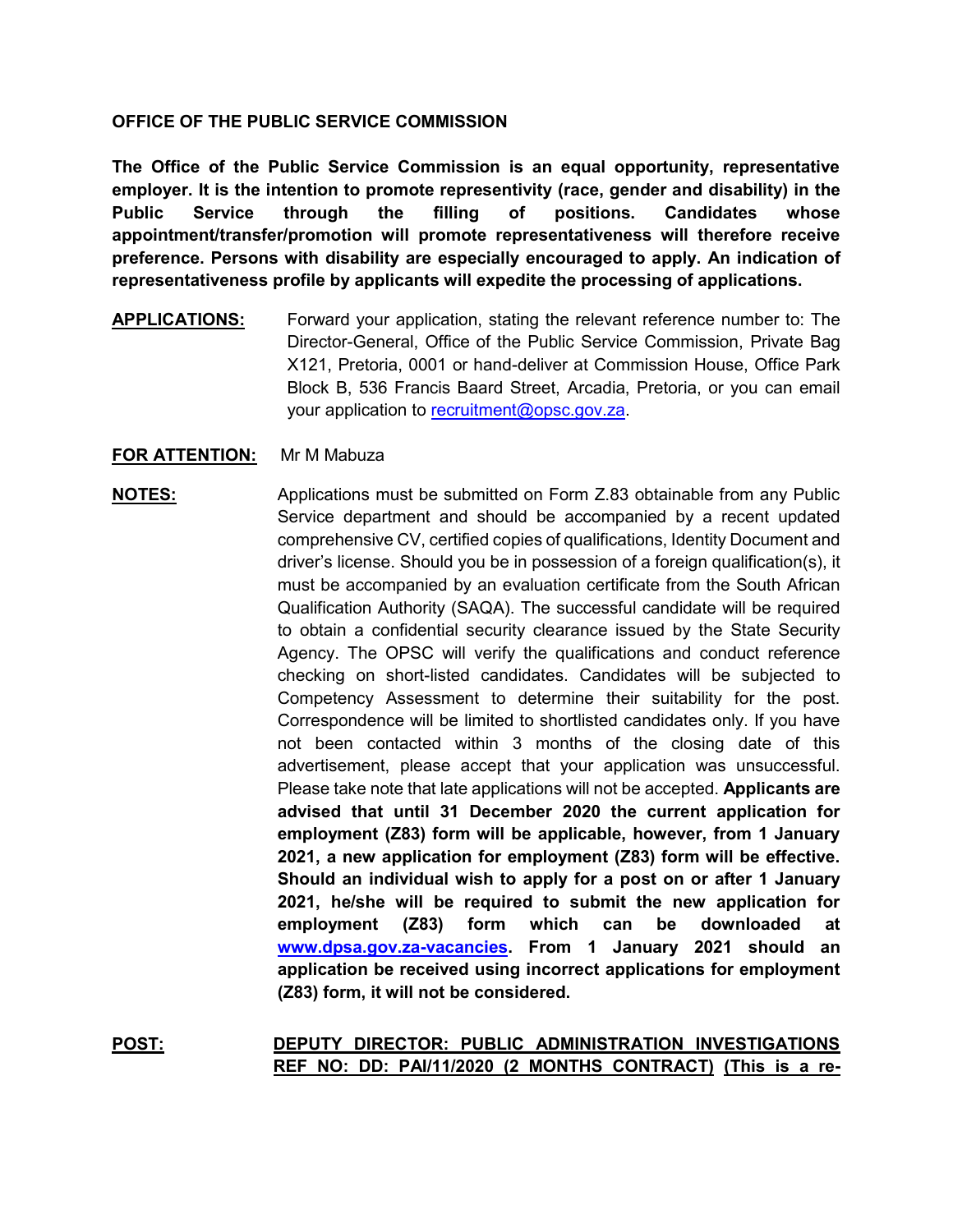## **OFFICE OF THE PUBLIC SERVICE COMMISSION**

**The Office of the Public Service Commission is an equal opportunity, representative employer. It is the intention to promote representivity (race, gender and disability) in the Public Service through the filling of positions. Candidates whose appointment/transfer/promotion will promote representativeness will therefore receive preference. Persons with disability are especially encouraged to apply. An indication of representativeness profile by applicants will expedite the processing of applications.**

**APPLICATIONS:** Forward your application, stating the relevant reference number to: The Director-General, Office of the Public Service Commission, Private Bag X121, Pretoria, 0001 or hand-deliver at Commission House, Office Park Block B, 536 Francis Baard Street, Arcadia, Pretoria, or you can email your application to [recruitment@opsc.gov.za.](mailto:recruitment@opsc.gov.za)

## **FOR ATTENTION:** Mr M Mabuza

**NOTES:** Applications must be submitted on Form Z.83 obtainable from any Public Service department and should be accompanied by a recent updated comprehensive CV, certified copies of qualifications, Identity Document and driver's license. Should you be in possession of a foreign qualification(s), it must be accompanied by an evaluation certificate from the South African Qualification Authority (SAQA). The successful candidate will be required to obtain a confidential security clearance issued by the State Security Agency. The OPSC will verify the qualifications and conduct reference checking on short-listed candidates. Candidates will be subjected to Competency Assessment to determine their suitability for the post. Correspondence will be limited to shortlisted candidates only. If you have not been contacted within 3 months of the closing date of this advertisement, please accept that your application was unsuccessful. Please take note that late applications will not be accepted. **Applicants are advised that until 31 December 2020 the current application for employment (Z83) form will be applicable, however, from 1 January 2021, a new application for employment (Z83) form will be effective. Should an individual wish to apply for a post on or after 1 January 2021, he/she will be required to submit the new application for employment (Z83) form which can be downloaded at [www.dpsa.gov.za-vacancies.](http://www.dpsa.gov.za-vacancies/) From 1 January 2021 should an application be received using incorrect applications for employment (Z83) form, it will not be considered.** 

**POST: DEPUTY DIRECTOR: PUBLIC ADMINISTRATION INVESTIGATIONS REF NO: DD: PAI/11/2020 (2 MONTHS CONTRACT) (This is a re-**